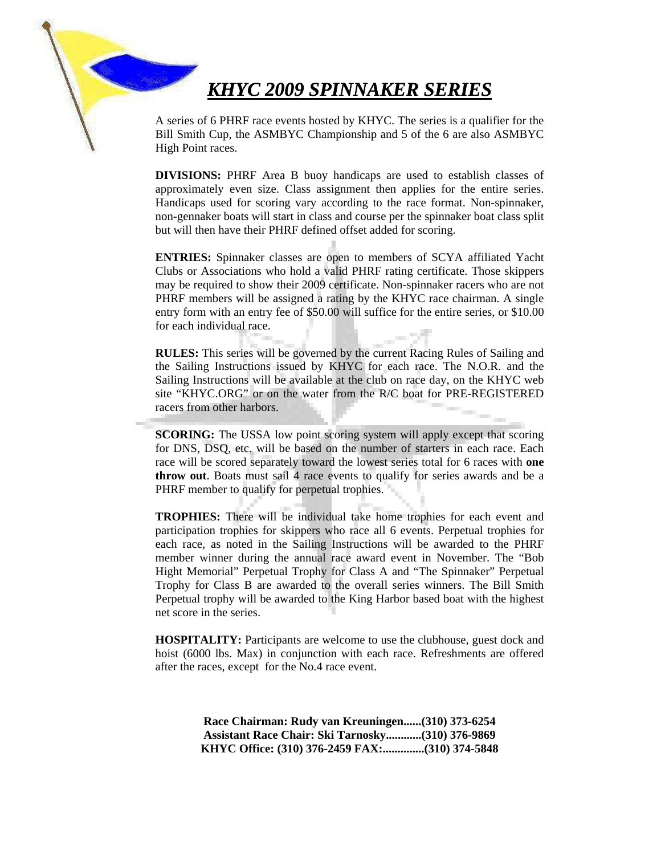# *KHYC 2009 SPINNAKER SERIES*

A series of 6 PHRF race events hosted by KHYC. The series is a qualifier for the Bill Smith Cup, the ASMBYC Championship and 5 of the 6 are also ASMBYC High Point races.

**DIVISIONS:** PHRF Area B buoy handicaps are used to establish classes of approximately even size. Class assignment then applies for the entire series. Handicaps used for scoring vary according to the race format. Non-spinnaker, non-gennaker boats will start in class and course per the spinnaker boat class split but will then have their PHRF defined offset added for scoring.

**ENTRIES:** Spinnaker classes are open to members of SCYA affiliated Yacht Clubs or Associations who hold a valid PHRF rating certificate. Those skippers may be required to show their 2009 certificate. Non-spinnaker racers who are not PHRF members will be assigned a rating by the KHYC race chairman. A single entry form with an entry fee of \$50.00 will suffice for the entire series, or \$10.00 for each individual race.

**RULES:** This series will be governed by the current Racing Rules of Sailing and the Sailing Instructions issued by KHYC for each race. The N.O.R. and the Sailing Instructions will be available at the club on race day, on the KHYC web site "KHYC.ORG" or on the water from the R/C boat for PRE-REGISTERED racers from other harbors.

j

**SCORING:** The USSA low point scoring system will apply except that scoring for DNS, DSQ, etc. will be based on the number of starters in each race. Each race will be scored separately toward the lowest series total for 6 races with **one throw out**. Boats must sail 4 race events to qualify for series awards and be a PHRF member to qualify for perpetual trophies.

**TROPHIES:** There will be individual take home trophies for each event and participation trophies for skippers who race all 6 events. Perpetual trophies for each race, as noted in the Sailing Instructions will be awarded to the PHRF member winner during the annual race award event in November. The "Bob Hight Memorial" Perpetual Trophy for Class A and "The Spinnaker" Perpetual Trophy for Class B are awarded to the overall series winners. The Bill Smith Perpetual trophy will be awarded to the King Harbor based boat with the highest net score in the series.

**HOSPITALITY:** Participants are welcome to use the clubhouse, guest dock and hoist (6000 lbs. Max) in conjunction with each race. Refreshments are offered after the races, except for the No.4 race event.

> **Race Chairman: Rudy van Kreuningen......(310) 373-6254 Assistant Race Chair: Ski Tarnosky............(310) 376-9869 KHYC Office: (310) 376-2459 FAX:..............(310) 374-5848**